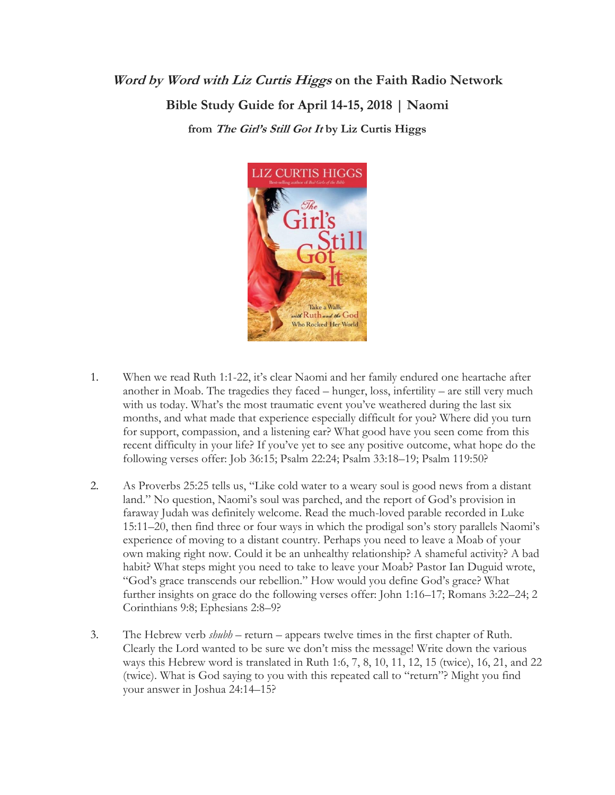## **Word by Word with Liz Curtis Higgs on the Faith Radio Network Bible Study Guide for April 14-15, 2018 | Naomi from The Girl's Still Got It by Liz Curtis Higgs**



- 1. When we read Ruth 1:1-22, it's clear Naomi and her family endured one heartache after another in Moab. The tragedies they faced – hunger, loss, infertility – are still very much with us today. What's the most traumatic event you've weathered during the last six months, and what made that experience especially difficult for you? Where did you turn for support, compassion, and a listening ear? What good have you seen come from this recent difficulty in your life? If you've yet to see any positive outcome, what hope do the following verses offer: Job 36:15; Psalm 22:24; Psalm 33:18–19; Psalm 119:50?
- 2. As Proverbs 25:25 tells us, "Like cold water to a weary soul is good news from a distant land." No question, Naomi's soul was parched, and the report of God's provision in faraway Judah was definitely welcome. Read the much-loved parable recorded in Luke 15:11–20, then find three or four ways in which the prodigal son's story parallels Naomi's experience of moving to a distant country. Perhaps you need to leave a Moab of your own making right now. Could it be an unhealthy relationship? A shameful activity? A bad habit? What steps might you need to take to leave your Moab? Pastor Ian Duguid wrote, "God's grace transcends our rebellion." How would you define God's grace? What further insights on grace do the following verses offer: John 1:16–17; Romans 3:22–24; 2 Corinthians 9:8; Ephesians 2:8–9?
- 3. The Hebrew verb *shubh* return appears twelve times in the first chapter of Ruth. Clearly the Lord wanted to be sure we don't miss the message! Write down the various ways this Hebrew word is translated in Ruth 1:6, 7, 8, 10, 11, 12, 15 (twice), 16, 21, and 22 (twice). What is God saying to you with this repeated call to "return"? Might you find your answer in Joshua 24:14–15?